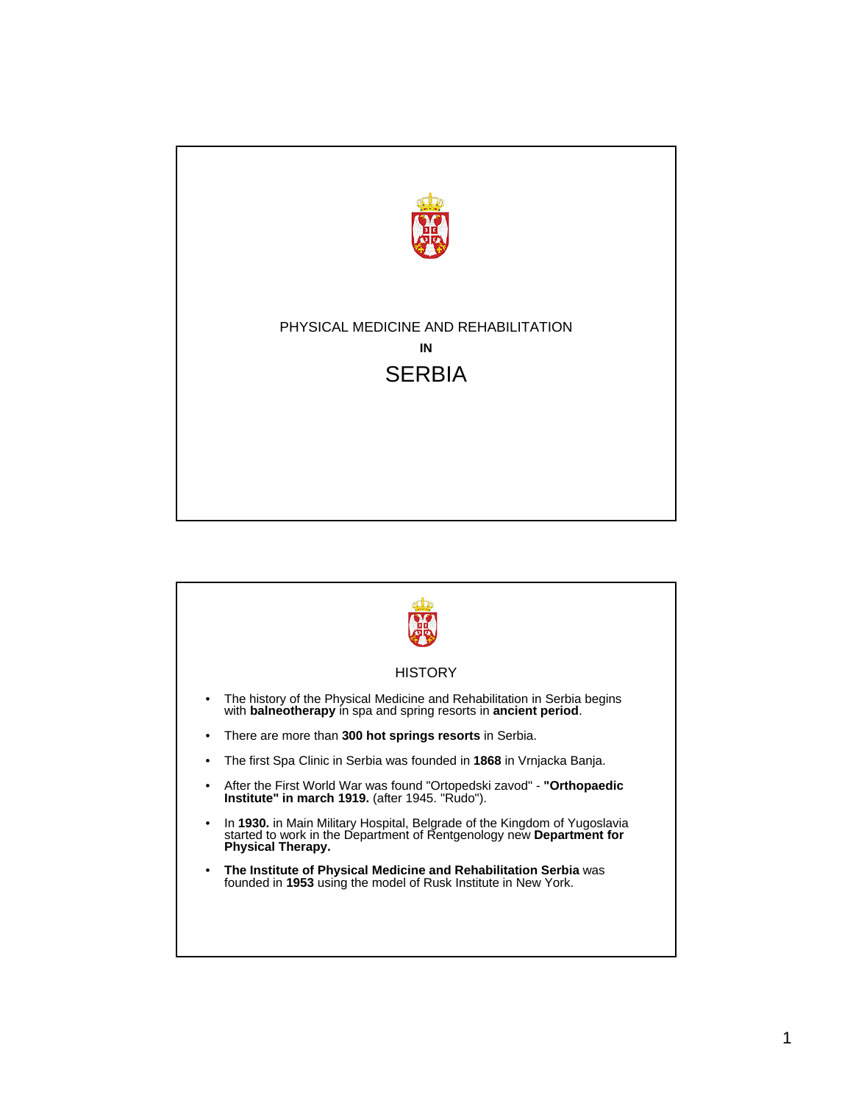

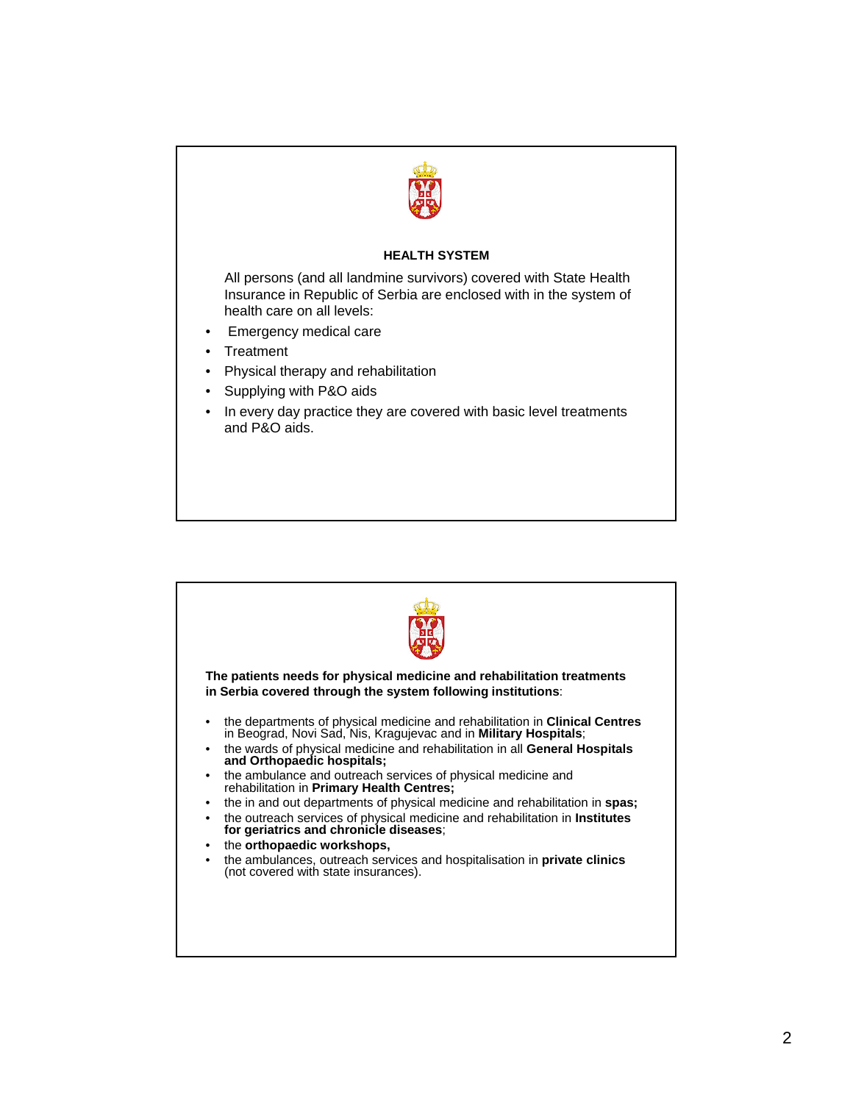

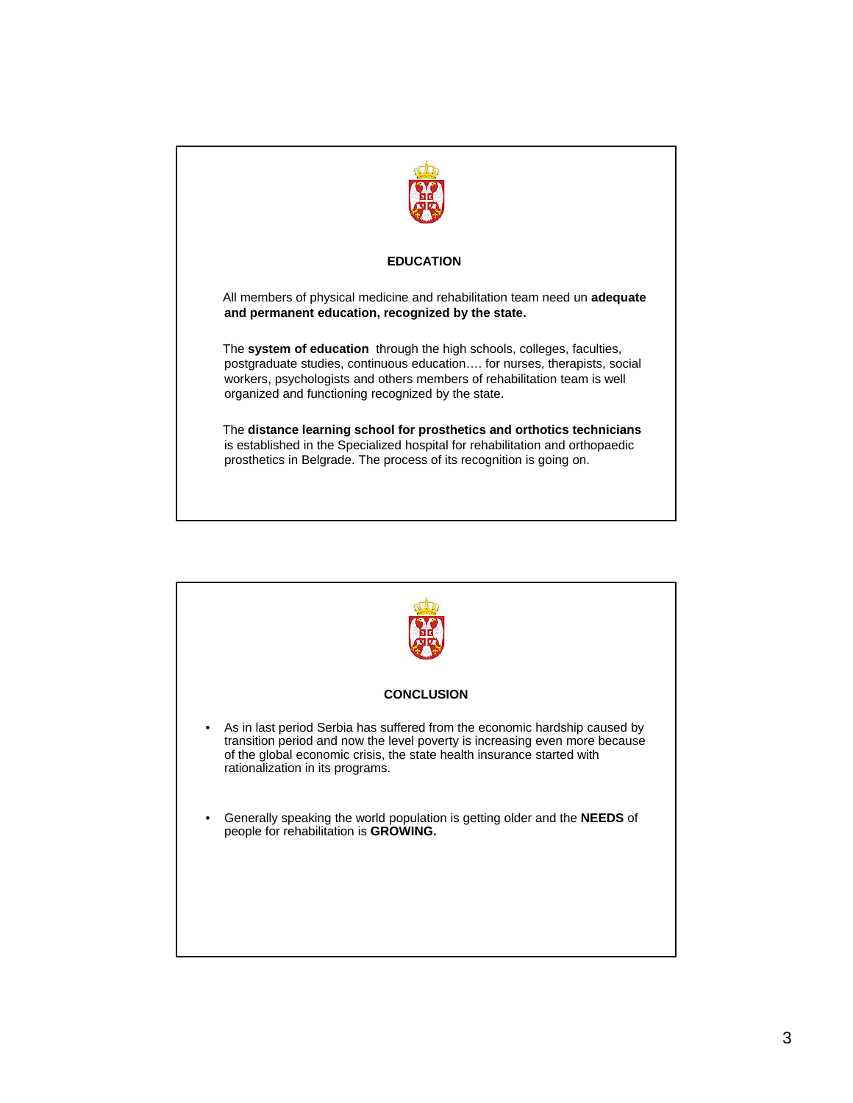